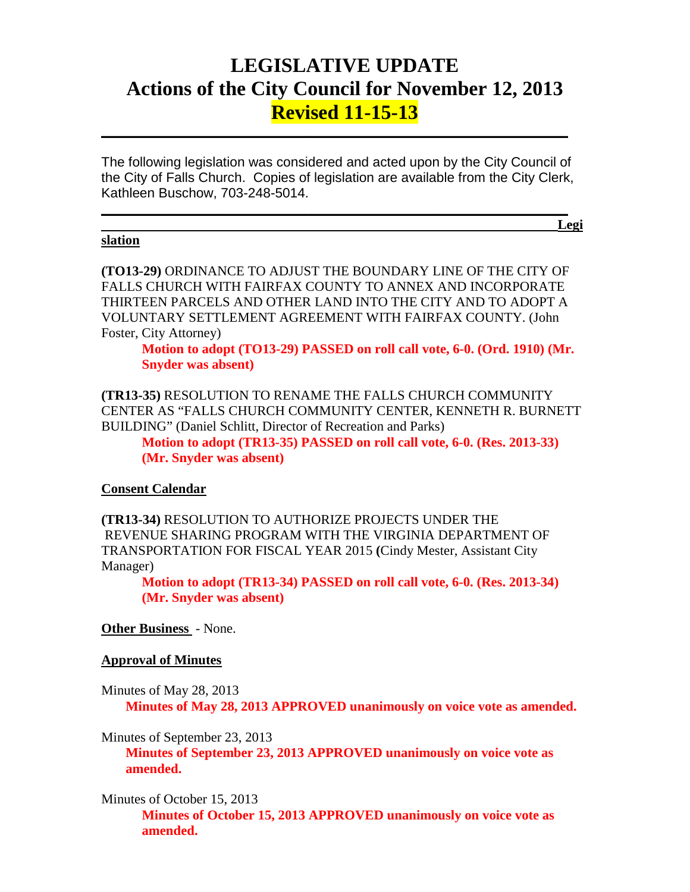## **LEGISLATIVE UPDATE Actions of the City Council for November 12, 2013 Revised 11-15-13**

The following legislation was considered and acted upon by the City Council of the City of Falls Church. Copies of legislation are available from the City Clerk, Kathleen Buschow, 703-248-5014.

 $\mathcal{L}_\text{max}$  and  $\mathcal{L}_\text{max}$  and  $\mathcal{L}_\text{max}$  and  $\mathcal{L}_\text{max}$  and  $\mathcal{L}_\text{max}$  and  $\mathcal{L}_\text{max}$ **Legi**

 $\mathcal{L}_\text{max}$  and  $\mathcal{L}_\text{max}$  and  $\mathcal{L}_\text{max}$  and  $\mathcal{L}_\text{max}$  and  $\mathcal{L}_\text{max}$  and  $\mathcal{L}_\text{max}$ 

#### **slation**

**(TO13-29)** ORDINANCE TO ADJUST THE BOUNDARY LINE OF THE CITY OF FALLS CHURCH WITH FAIRFAX COUNTY TO ANNEX AND INCORPORATE THIRTEEN PARCELS AND OTHER LAND INTO THE CITY AND TO ADOPT A VOLUNTARY SETTLEMENT AGREEMENT WITH FAIRFAX COUNTY. (John Foster, City Attorney)

**Motion to adopt (TO13-29) PASSED on roll call vote, 6-0. (Ord. 1910) (Mr. Snyder was absent)**

**(TR13-35)** RESOLUTION TO RENAME THE FALLS CHURCH COMMUNITY CENTER AS "FALLS CHURCH COMMUNITY CENTER, KENNETH R. BURNETT BUILDING" (Daniel Schlitt, Director of Recreation and Parks)

**Motion to adopt (TR13-35) PASSED on roll call vote, 6-0. (Res. 2013-33) (Mr. Snyder was absent)**

### **Consent Calendar**

**(TR13-34)** RESOLUTION TO AUTHORIZE PROJECTS UNDER THE REVENUE SHARING PROGRAM WITH THE VIRGINIA DEPARTMENT OF TRANSPORTATION FOR FISCAL YEAR 2015 **(**Cindy Mester, Assistant City Manager)

**Motion to adopt (TR13-34) PASSED on roll call vote, 6-0. (Res. 2013-34) (Mr. Snyder was absent)**

### **Other Business** - None.

#### **Approval of Minutes**

Minutes of May 28, 2013 **Minutes of May 28, 2013 APPROVED unanimously on voice vote as amended.**

Minutes of September 23, 2013 **Minutes of September 23, 2013 APPROVED unanimously on voice vote as amended.**

Minutes of October 15, 2013 **Minutes of October 15, 2013 APPROVED unanimously on voice vote as amended.**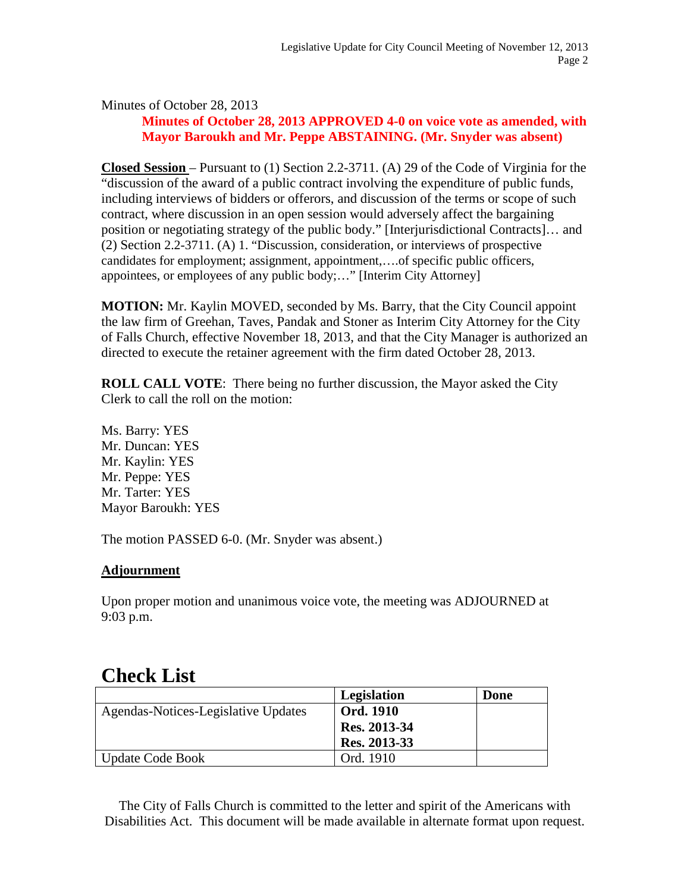## Minutes of October 28, 2013 **Minutes of October 28, 2013 APPROVED 4-0 on voice vote as amended, with Mayor Baroukh and Mr. Peppe ABSTAINING. (Mr. Snyder was absent)**

**Closed Session** – Pursuant to (1) Section 2.2-3711. (A) 29 of the Code of Virginia for the "discussion of the award of a public contract involving the expenditure of public funds, including interviews of bidders or offerors, and discussion of the terms or scope of such contract, where discussion in an open session would adversely affect the bargaining position or negotiating strategy of the public body." [Interjurisdictional Contracts]… and (2) Section 2.2-3711. (A) 1. "Discussion, consideration, or interviews of prospective candidates for employment; assignment, appointment,….of specific public officers, appointees, or employees of any public body;…" [Interim City Attorney]

**MOTION:** Mr. Kaylin MOVED, seconded by Ms. Barry, that the City Council appoint the law firm of Greehan, Taves, Pandak and Stoner as Interim City Attorney for the City of Falls Church, effective November 18, 2013, and that the City Manager is authorized an directed to execute the retainer agreement with the firm dated October 28, 2013.

**ROLL CALL VOTE**: There being no further discussion, the Mayor asked the City Clerk to call the roll on the motion:

Ms. Barry: YES Mr. Duncan: YES Mr. Kaylin: YES Mr. Peppe: YES Mr. Tarter: YES Mayor Baroukh: YES

The motion PASSED 6-0. (Mr. Snyder was absent.)

## **Adjournment**

Upon proper motion and unanimous voice vote, the meeting was ADJOURNED at 9:03 p.m.

# **Check List**

|                                     | Legislation      | Done |
|-------------------------------------|------------------|------|
| Agendas-Notices-Legislative Updates | <b>Ord. 1910</b> |      |
|                                     | Res. 2013-34     |      |
|                                     | Res. 2013-33     |      |
| <b>Update Code Book</b>             | Ord. 1910        |      |

The City of Falls Church is committed to the letter and spirit of the Americans with Disabilities Act. This document will be made available in alternate format upon request.